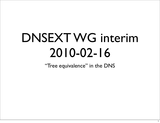## DNSEXT WG interim 2010-02-16

"Tree equivalence" in the DNS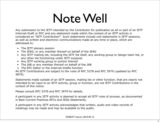### Note Well

Any submission to the IETF intended by the Contributor for publication as all or part of an IETF Internet-Draft or RFC and any statement made within the context of an IETF activity is considered an "IETF Contribution". Such statements include oral statements in IETF sessions, as well as written and electronic communications made at any time or place, which are addressed to:

- The IETF plenary session
- The IESG, or any member thereof on behalf of the IESG
- Any IETF mailing list, including the IETF list itself, any working group or design team list, or any other list functioning under IETF auspices
- Any IETF working group or portion thereof
- The IAB or any member thereof on behalf of the IAB
- The RFC Editor or the Internet-Drafts function

All IETF Contributions are subject to the rules of [RFC 5378](http://www.ietf.org/rfc/rfc5378.txt) and [RFC 3979](http://www.ietf.org/rfc/rfc3979.txt) (updated by [RFC](http://www.ietf.org/rfc/rfc4879.txt) [4879\)](http://www.ietf.org/rfc/rfc4879.txt).

Statements made outside of an IETF session, mailing list or other function, that are clearly not intended to be input to an IETF activity, group or function, are not IETF Contributions in the context of this notice.

Please consult RFC [5378](http://www.ietf.org/rfc/rfc5378.txt) and [RFC 3979](http://www.ietf.org/rfc/rfc3979.txt) for details.

A participant in any IETF activity is deemed to accept all IETF rules of process, as documented in Best Current Practices RFCs and IESG Statements.

A participant in any IETF activity acknowledges that written, audio and video records of meetings may be made and may be available to the public.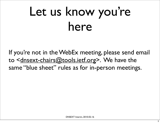# Let us know you're here

If you're not in the WebEx meeting, please send email to [<dnsext-chairs@tools.ietf.org>](mailto:dnsext-chairs@tools.ietf.org). We have the same "blue sheet" rules as for in-person meetings.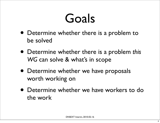### Goals

- Determine whether there is a problem to be solved
- Determine whether there is a problem *this WG* can solve & what's in scope
- Determine whether we have proposals worth working on
- Determine whether we have workers to do the work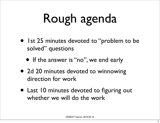# Rough agenda

- 1st 25 minutes devoted to "problem to be solved" questions
	- If the answer is "no", we end early
- 2d 20 minutes devoted to winnowing direction for work
- Last 10 minutes devoted to figuring out whether we will do the work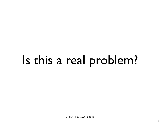# Is this a real problem?

DNSEXT Interim, 2010-02-16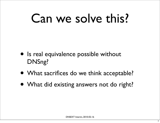## Can we solve this?

- Is real equivalence possible without DNSng?
- What sacrifices do we think acceptable?
- What did existing answers not do right?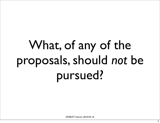# What, of any of the proposals, should *not* be pursued?

DNSEXT Interim, 2010-02-16